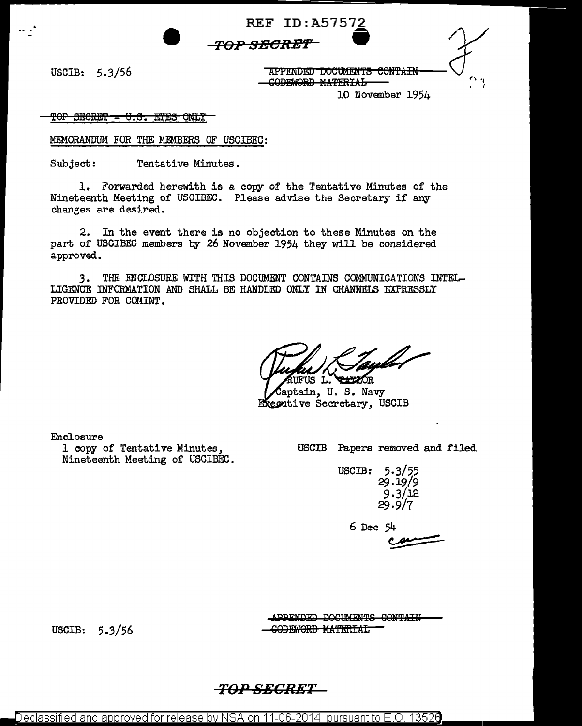**'FOP SRCR:ET W** 

**REF ID: A5757** 

# $TOP SECRET$ <br>
USCIB: 5.3/56 THERE POCUMENTS CONTAIN APPENDED DOCUMENTS CONTAIN GODEWORD MATERIAL

10 November 1954

<u>TOP SECRET - U.S. EYES ONLY</u>

MEMORANDUM FOR THE MEMBERS OF USCIBEC:

Subject: Tentative Minutes.

1. Forwarded herewith is a copy of the Tentative Minutes of the Nineteenth Meeting of USCIBEC. Please advise the Secretary if any changes are desired.

2. In the event there is no objection to these Minutes on the part of USCIBEC members by 26 November 1954 they will be considered approved.

3. THE ENCLOSURE WITH THIS DOCUMENT CONTAINS COMMUNICATIONS INTEL-LIGENCE INFORMATION AND SHALL BE HANDLED ONLY IN CHANNELS EXPRESSLY PROVIDED FOR COMINT.

**CALCAOR** IS L.

aptain, U.S. Navy Executive Secretary, USCIB

Enclosure

1 copy of Tentative Minutes, Nineteenth Meeting of USCIBEC. USCIB Papers removed and filed

USCIB: 5.3/55 29.19/9 9.3/12 29.9/7

6 Dec 54

 $54$ <br> $\frac{24}{2}$ 

USCIB: 5.3/56

APPENDED DOCUMENTS CONTAIN -<del>CODEWORD MATERIAL</del>

### *T0>.0 SECRET*

Declassified and approved for release by NSA on 11-06-2014  $\,$  pursuant to E.O. 1352 $6$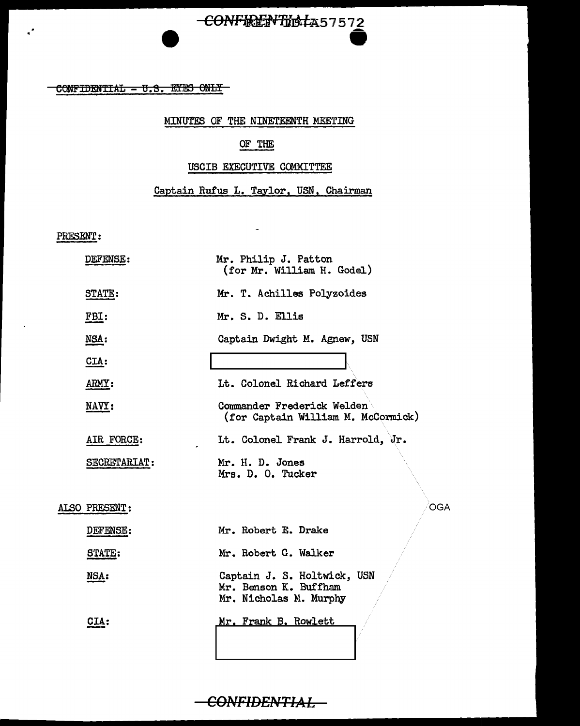## -CONFIRENTINATA57572

 $COMFIDENTIAL - U.S. EYES ONLT$ 

#### MINUTES OF THE NINETEENTH MEETING

### OF THE

#### USCIB EXECUTIVE COMMITTEE

#### Captain Rufus L. Taylor, USN, Chairman

 $\tilde{\phantom{a}}$ 

PRESENT:

 $\ddot{\phantom{a}}$ 

| DEFENSE:      | Mr. Philip J. Patton<br>(for Mr. William H. Godel)                             |
|---------------|--------------------------------------------------------------------------------|
| STATE:        | Mr. T. Achilles Polyzoides                                                     |
| FBI:          | Mr. S. D. Ellis                                                                |
| <b>NSA:</b>   | Captain Dwight M. Agnew, USN                                                   |
| CLA:          |                                                                                |
| ARMY:         | Lt. Colonel Richard Leffers                                                    |
| NAVY:         | Commander Frederick Welden<br>(for Captain William M. McCormick)               |
| AIR FORCE:    | It. Colonel Frank J. Harrold, Jr.                                              |
| SECRETARIAT:  | Mr. H. D. Jones<br>Mrs. D. O. Tucker                                           |
| ALSO PRESENT: | <b>OGA</b>                                                                     |
| DEFENSE:      | Mr. Robert E. Drake                                                            |
| STATE:        | Mr. Robert G. Walker                                                           |
| NSA:          | Captain J. S. Holtwick, USN<br>Mr. Benson K. Buffham<br>Mr. Nicholas M. Murphy |
| CIA:          | Mr. Frank B. Rowlett                                                           |

**CONFIDENTIAL**